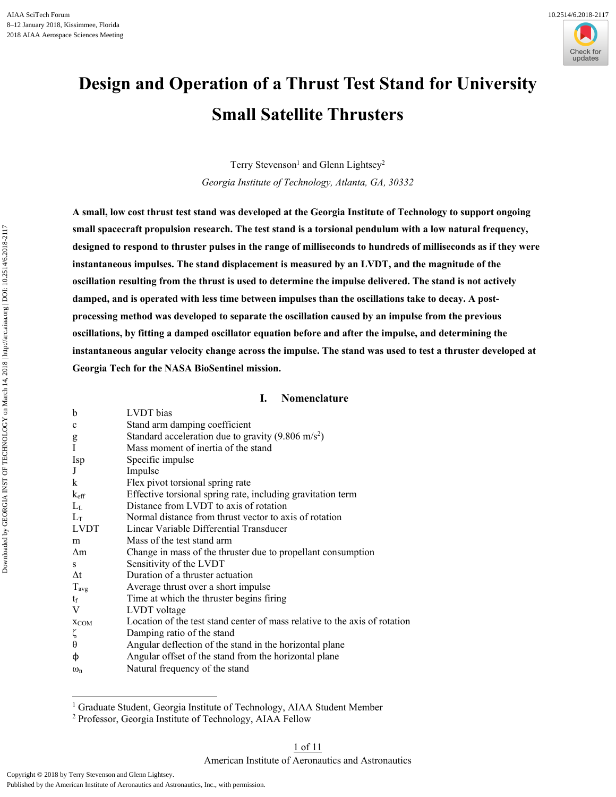

# **Design and Operation of a Thrust Test Stand for University Small Satellite Thrusters**

Terry Stevenson<sup>1</sup> and Glenn Lightsey<sup>2</sup> *Georgia Institute of Technology, Atlanta, GA, 30332* 

**A small, low cost thrust test stand was developed at the Georgia Institute of Technology to support ongoing small spacecraft propulsion research. The test stand is a torsional pendulum with a low natural frequency, designed to respond to thruster pulses in the range of milliseconds to hundreds of milliseconds as if they were instantaneous impulses. The stand displacement is measured by an LVDT, and the magnitude of the oscillation resulting from the thrust is used to determine the impulse delivered. The stand is not actively damped, and is operated with less time between impulses than the oscillations take to decay. A postprocessing method was developed to separate the oscillation caused by an impulse from the previous oscillations, by fitting a damped oscillator equation before and after the impulse, and determining the instantaneous angular velocity change across the impulse. The stand was used to test a thruster developed at Georgia Tech for the NASA BioSentinel mission.** 

# **I. Nomenclature**

| $\mathbf b$      | LVDT bias                                                                  |
|------------------|----------------------------------------------------------------------------|
| $\mathbf c$      | Stand arm damping coefficient                                              |
| g                | Standard acceleration due to gravity $(9.806 \text{ m/s}^2)$               |
| $\rm I$          | Mass moment of inertia of the stand                                        |
| Isp              | Specific impulse                                                           |
| J                | Impulse                                                                    |
| $\bf k$          | Flex pivot torsional spring rate                                           |
| $k_{\text{eff}}$ | Effective torsional spring rate, including gravitation term                |
| $L_{L}$          | Distance from LVDT to axis of rotation                                     |
| $L_T$            | Normal distance from thrust vector to axis of rotation                     |
| <b>LVDT</b>      | Linear Variable Differential Transducer                                    |
| m                | Mass of the test stand arm                                                 |
| $\Delta m$       | Change in mass of the thruster due to propellant consumption               |
| S                | Sensitivity of the LVDT                                                    |
| $\Delta t$       | Duration of a thruster actuation                                           |
| $T_{avg}$        | Average thrust over a short impulse                                        |
| $t_f$            | Time at which the thruster begins firing                                   |
| V                | LVDT voltage                                                               |
| <b>XCOM</b>      | Location of the test stand center of mass relative to the axis of rotation |
| ζ                | Damping ratio of the stand                                                 |
| $\theta$         | Angular deflection of the stand in the horizontal plane                    |
| ф                | Angular offset of the stand from the horizontal plane                      |
| $\omega_{n}$     | Natural frequency of the stand                                             |

<sup>&</sup>lt;sup>1</sup> Graduate Student, Georgia Institute of Technology, AIAA Student Member <sup>2</sup> Professor, Georgia Institute of Technology, AIAA Fellow

American Institute of Aeronautics and Astronautics

 Copyright © 2018 by Terry Stevenson and Glenn Lightsey. Published by the American Institute of Aeronautics and Astronautics, Inc., with permission.

 $\overline{a}$ 

<sup>&</sup>lt;sup>2</sup> Professor, Georgia Institute of Technology, AIAA Fellow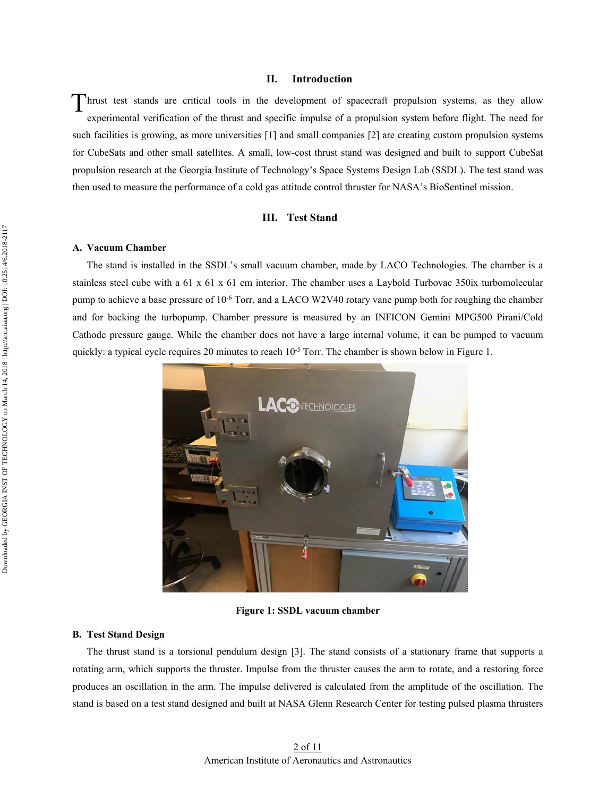### **II. Introduction**

Thrust test stands are critical tools in the development of spacecraft propulsion systems, as they allow survey and server that the most form experimental verification of the thrust and specific impulse of a propulsion system before flight. The need for such facilities is growing, as more universities [1] and small companies [2] are creating custom propulsion systems for CubeSats and other small satellites. A small, low-cost thrust stand was designed and built to support CubeSat propulsion research at the Georgia Institute of Technology's Space Systems Design Lab (SSDL). The test stand was then used to measure the performance of a cold gas attitude control thruster for NASA's BioSentinel mission.

## **III. Test Stand**

## **A. Vacuum Chamber**

The stand is installed in the SSDL's small vacuum chamber, made by LACO Technologies. The chamber is a stainless steel cube with a 61 x 61 x 61 cm interior. The chamber uses a Laybold Turbovac 350ix turbomolecular pump to achieve a base pressure of  $10^{-6}$  Torr, and a LACO W2V40 rotary vane pump both for roughing the chamber and for backing the turbopump. Chamber pressure is measured by an INFICON Gemini MPG500 Pirani/Cold Cathode pressure gauge. While the chamber does not have a large internal volume, it can be pumped to vacuum quickly: a typical cycle requires 20 minutes to reach  $10^{-5}$  Torr. The chamber is shown below in Figure 1.



**Figure 1: SSDL vacuum chamber** 

#### **B. Test Stand Design**

The thrust stand is a torsional pendulum design [3]. The stand consists of a stationary frame that supports a rotating arm, which supports the thruster. Impulse from the thruster causes the arm to rotate, and a restoring force produces an oscillation in the arm. The impulse delivered is calculated from the amplitude of the oscillation. The stand is based on a test stand designed and built at NASA Glenn Research Center for testing pulsed plasma thrusters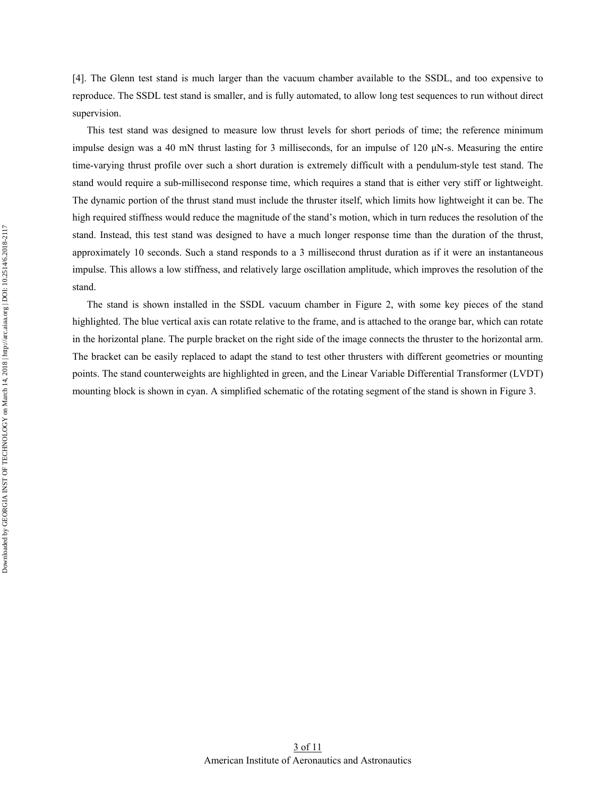[4]. The Glenn test stand is much larger than the vacuum chamber available to the SSDL, and too expensive to reproduce. The SSDL test stand is smaller, and is fully automated, to allow long test sequences to run without direct supervision.

This test stand was designed to measure low thrust levels for short periods of time; the reference minimum impulse design was a 40 mN thrust lasting for 3 milliseconds, for an impulse of 120  $\mu$ N-s. Measuring the entire time-varying thrust profile over such a short duration is extremely difficult with a pendulum-style test stand. The stand would require a sub-millisecond response time, which requires a stand that is either very stiff or lightweight. The dynamic portion of the thrust stand must include the thruster itself, which limits how lightweight it can be. The high required stiffness would reduce the magnitude of the stand's motion, which in turn reduces the resolution of the stand. Instead, this test stand was designed to have a much longer response time than the duration of the thrust, approximately 10 seconds. Such a stand responds to a 3 millisecond thrust duration as if it were an instantaneous impulse. This allows a low stiffness, and relatively large oscillation amplitude, which improves the resolution of the stand.

The stand is shown installed in the SSDL vacuum chamber in Figure 2, with some key pieces of the stand highlighted. The blue vertical axis can rotate relative to the frame, and is attached to the orange bar, which can rotate in the horizontal plane. The purple bracket on the right side of the image connects the thruster to the horizontal arm. The bracket can be easily replaced to adapt the stand to test other thrusters with different geometries or mounting points. The stand counterweights are highlighted in green, and the Linear Variable Differential Transformer (LVDT) mounting block is shown in cyan. A simplified schematic of the rotating segment of the stand is shown in Figure 3.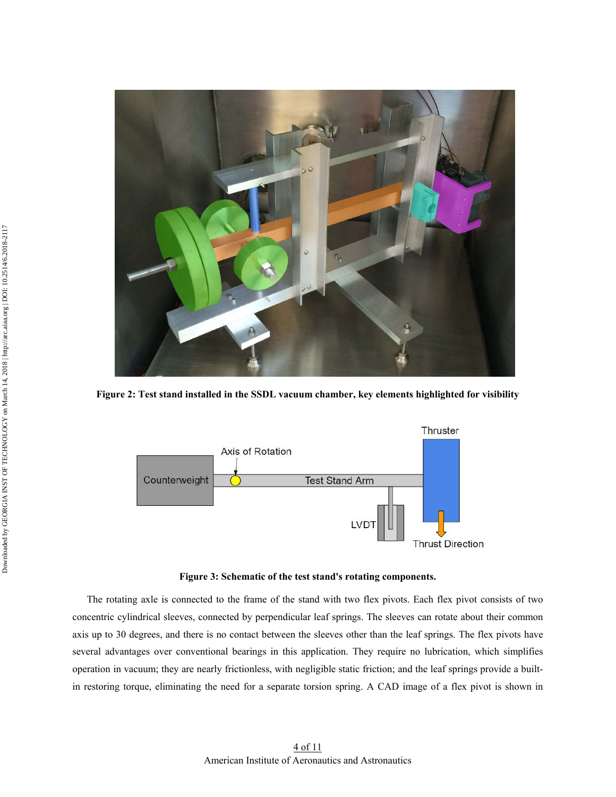

**Figure 2: Test stand installed in the SSDL vacuum chamber, key elements highlighted for visibility** 



**Figure 3: Schematic of the test stand's rotating components.** 

The rotating axle is connected to the frame of the stand with two flex pivots. Each flex pivot consists of two concentric cylindrical sleeves, connected by perpendicular leaf springs. The sleeves can rotate about their common axis up to 30 degrees, and there is no contact between the sleeves other than the leaf springs. The flex pivots have several advantages over conventional bearings in this application. They require no lubrication, which simplifies operation in vacuum; they are nearly frictionless, with negligible static friction; and the leaf springs provide a builtin restoring torque, eliminating the need for a separate torsion spring. A CAD image of a flex pivot is shown in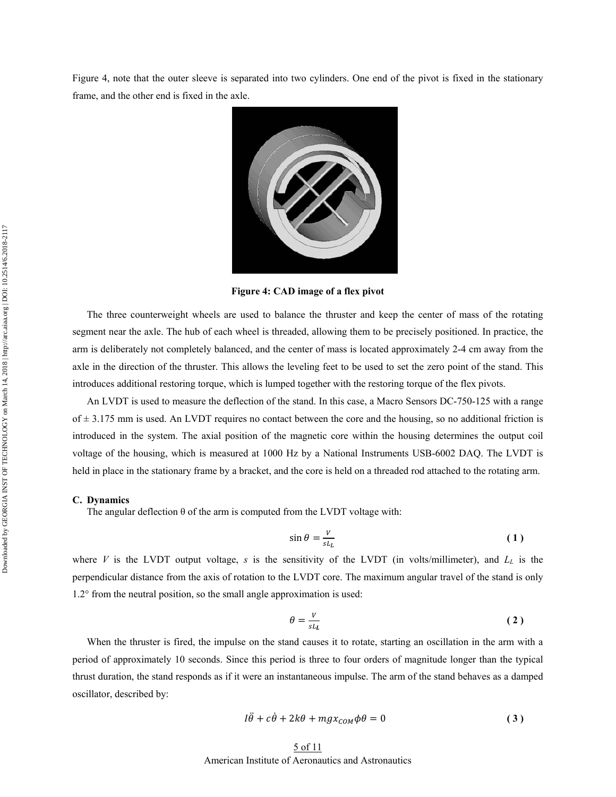Figure 4, note that the outer sleeve is separated into two cylinders. One end of the pivot is fixed in the stationary frame, and the other end is fixed in the axle.



**Figure 4: CAD image of a flex pivot** 

The three counterweight wheels are used to balance the thruster and keep the center of mass of the rotating segment near the axle. The hub of each wheel is threaded, allowing them to be precisely positioned. In practice, the arm is deliberately not completely balanced, and the center of mass is located approximately 2-4 cm away from the axle in the direction of the thruster. This allows the leveling feet to be used to set the zero point of the stand. This introduces additional restoring torque, which is lumped together with the restoring torque of the flex pivots.

An LVDT is used to measure the deflection of the stand. In this case, a Macro Sensors DC-750-125 with a range of  $\pm$  3.175 mm is used. An LVDT requires no contact between the core and the housing, so no additional friction is introduced in the system. The axial position of the magnetic core within the housing determines the output coil voltage of the housing, which is measured at 1000 Hz by a National Instruments USB-6002 DAQ. The LVDT is held in place in the stationary frame by a bracket, and the core is held on a threaded rod attached to the rotating arm.

#### **C. Dynamics**

The angular deflection  $\theta$  of the arm is computed from the LVDT voltage with:

$$
\sin \theta = \frac{v}{s_{L}} \tag{1}
$$

where *V* is the LVDT output voltage, *s* is the sensitivity of the LVDT (in volts/millimeter), and  $L<sub>L</sub>$  is the perpendicular distance from the axis of rotation to the LVDT core. The maximum angular travel of the stand is only 1.2° from the neutral position, so the small angle approximation is used:

$$
\theta = \frac{V}{sL} \tag{2}
$$

When the thruster is fired, the impulse on the stand causes it to rotate, starting an oscillation in the arm with a period of approximately 10 seconds. Since this period is three to four orders of magnitude longer than the typical thrust duration, the stand responds as if it were an instantaneous impulse. The arm of the stand behaves as a damped oscillator, described by:

$$
I\ddot{\theta} + c\dot{\theta} + 2k\theta + mgx_{COM}\phi\theta = 0
$$
 (3)

# 5 of 11 American Institute of Aeronautics and Astronautics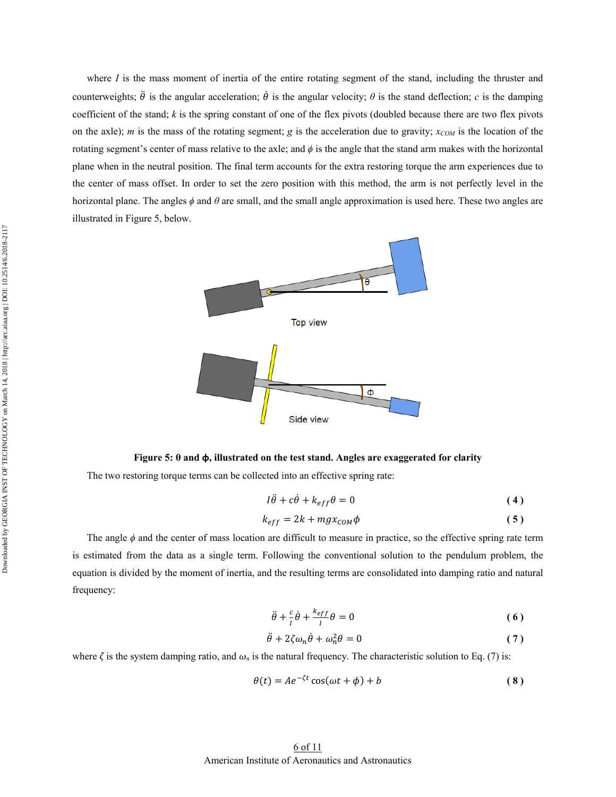where *I* is the mass moment of inertia of the entire rotating segment of the stand, including the thruster and counterweights;  $\ddot{\theta}$  is the angular acceleration;  $\dot{\theta}$  is the angular velocity;  $\theta$  is the stand deflection; *c* is the damping coefficient of the stand; *k* is the spring constant of one of the flex pivots (doubled because there are two flex pivots on the axle); *m* is the mass of the rotating segment; *g* is the acceleration due to gravity; *x*<sub>COM</sub> is the location of the rotating segment's center of mass relative to the axle; and *ϕ* is the angle that the stand arm makes with the horizontal plane when in the neutral position. The final term accounts for the extra restoring torque the arm experiences due to the center of mass offset. In order to set the zero position with this method, the arm is not perfectly level in the horizontal plane. The angles *ϕ* and *θ* are small, and the small angle approximation is used here. These two angles are illustrated in Figure 5, below.



**Figure 5: θ and φ, illustrated on the test stand. Angles are exaggerated for clarity** 

The two restoring torque terms can be collected into an effective spring rate:

$$
I\ddot{\theta} + c\dot{\theta} + k_{eff}\theta = 0 \tag{4}
$$

$$
k_{eff} = 2k + mgx_{COM}\phi
$$
 (5)

The angle *ϕ* and the center of mass location are difficult to measure in practice, so the effective spring rate term is estimated from the data as a single term. Following the conventional solution to the pendulum problem, the equation is divided by the moment of inertia, and the resulting terms are consolidated into damping ratio and natural frequency:

$$
\ddot{\theta} + \frac{c}{l}\dot{\theta} + \frac{k_{eff}}{l}\theta = 0 \tag{6}
$$

$$
\ddot{\theta} + 2\zeta \omega_n \dot{\theta} + \omega_n^2 \theta = 0 \tag{7}
$$

where  $\zeta$  is the system damping ratio, and  $\omega_n$  is the natural frequency. The characteristic solution to Eq. (7) is:

$$
\theta(t) = Ae^{-\zeta t} \cos(\omega t + \phi) + b \tag{8}
$$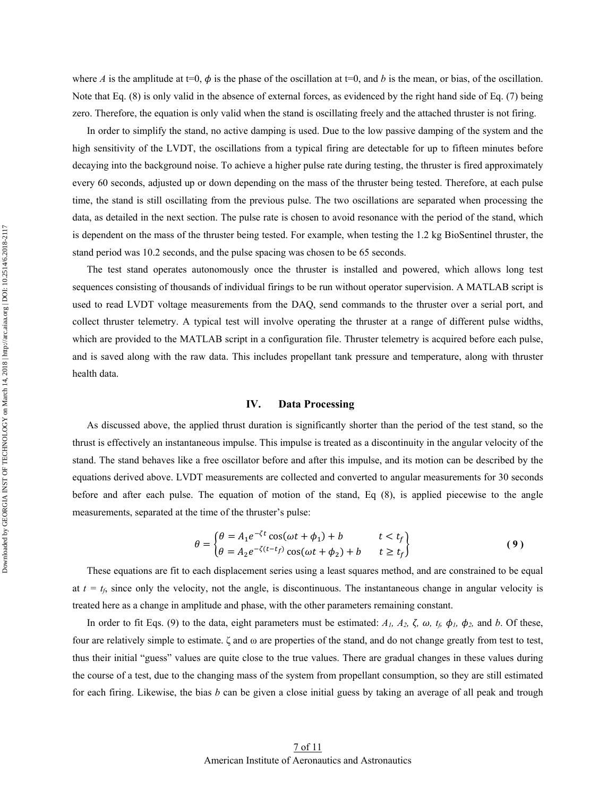where *A* is the amplitude at t=0,  $\phi$  is the phase of the oscillation at t=0, and *b* is the mean, or bias, of the oscillation. Note that Eq. (8) is only valid in the absence of external forces, as evidenced by the right hand side of Eq. (7) being zero. Therefore, the equation is only valid when the stand is oscillating freely and the attached thruster is not firing.

In order to simplify the stand, no active damping is used. Due to the low passive damping of the system and the high sensitivity of the LVDT, the oscillations from a typical firing are detectable for up to fifteen minutes before decaying into the background noise. To achieve a higher pulse rate during testing, the thruster is fired approximately every 60 seconds, adjusted up or down depending on the mass of the thruster being tested. Therefore, at each pulse time, the stand is still oscillating from the previous pulse. The two oscillations are separated when processing the data, as detailed in the next section. The pulse rate is chosen to avoid resonance with the period of the stand, which is dependent on the mass of the thruster being tested. For example, when testing the 1.2 kg BioSentinel thruster, the stand period was 10.2 seconds, and the pulse spacing was chosen to be 65 seconds.

The test stand operates autonomously once the thruster is installed and powered, which allows long test sequences consisting of thousands of individual firings to be run without operator supervision. A MATLAB script is used to read LVDT voltage measurements from the DAQ, send commands to the thruster over a serial port, and collect thruster telemetry. A typical test will involve operating the thruster at a range of different pulse widths, which are provided to the MATLAB script in a configuration file. Thruster telemetry is acquired before each pulse, and is saved along with the raw data. This includes propellant tank pressure and temperature, along with thruster health data.

## **IV. Data Processing**

As discussed above, the applied thrust duration is significantly shorter than the period of the test stand, so the thrust is effectively an instantaneous impulse. This impulse is treated as a discontinuity in the angular velocity of the stand. The stand behaves like a free oscillator before and after this impulse, and its motion can be described by the equations derived above. LVDT measurements are collected and converted to angular measurements for 30 seconds before and after each pulse. The equation of motion of the stand, Eq (8), is applied piecewise to the angle measurements, separated at the time of the thruster's pulse:

$$
\theta = \begin{cases} \theta = A_1 e^{-\zeta t} \cos(\omega t + \phi_1) + b & t < t_f \\ \theta = A_2 e^{-\zeta (t - t_f)} \cos(\omega t + \phi_2) + b & t \ge t_f \end{cases}
$$
(9)

These equations are fit to each displacement series using a least squares method, and are constrained to be equal at  $t = t_f$ , since only the velocity, not the angle, is discontinuous. The instantaneous change in angular velocity is treated here as a change in amplitude and phase, with the other parameters remaining constant.

In order to fit Eqs. (9) to the data, eight parameters must be estimated:  $A_1$ ,  $A_2$ ,  $\zeta$ ,  $\omega$ ,  $t_6$ ,  $\phi_1$ ,  $\phi_2$ , and *b*. Of these, four are relatively simple to estimate. ζ and ω are properties of the stand, and do not change greatly from test to test, thus their initial "guess" values are quite close to the true values. There are gradual changes in these values during the course of a test, due to the changing mass of the system from propellant consumption, so they are still estimated for each firing. Likewise, the bias *b* can be given a close initial guess by taking an average of all peak and trough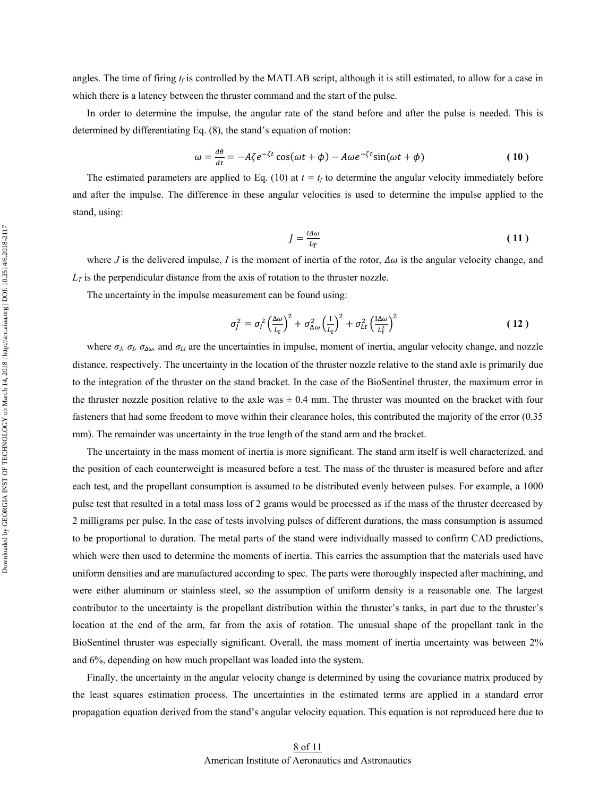angles. The time of firing  $t_f$  is controlled by the MATLAB script, although it is still estimated, to allow for a case in which there is a latency between the thruster command and the start of the pulse.

 In order to determine the impulse, the angular rate of the stand before and after the pulse is needed. This is determined by differentiating Eq. (8), the stand's equation of motion:

$$
\omega = \frac{d\theta}{dt} = -A\zeta e^{-\zeta t} \cos(\omega t + \phi) - A\omega e^{-\zeta t} \sin(\omega t + \phi)
$$
 (10)

The estimated parameters are applied to Eq. (10) at  $t = t_f$  to determine the angular velocity immediately before and after the impulse. The difference in these angular velocities is used to determine the impulse applied to the stand, using:

$$
J = \frac{I \Delta \omega}{L_T} \tag{11}
$$

where *J* is the delivered impulse, *I* is the moment of inertia of the rotor, *Δω* is the angular velocity change, and  $L<sub>T</sub>$  is the perpendicular distance from the axis of rotation to the thruster nozzle.

The uncertainty in the impulse measurement can be found using:

$$
\sigma_{J}^{2} = \sigma_{I}^{2} \left(\frac{\Delta \omega}{L_{t}}\right)^{2} + \sigma_{\Delta \omega}^{2} \left(\frac{1}{L_{t}}\right)^{2} + \sigma_{Lt}^{2} \left(\frac{l \Delta \omega}{L_{t}^{2}}\right)^{2}
$$
(12)

where  $\sigma_J$ ,  $\sigma_J$ ,  $\sigma_{\Delta\omega}$ , and  $\sigma_{L}$  are the uncertainties in impulse, moment of inertia, angular velocity change, and nozzle distance, respectively. The uncertainty in the location of the thruster nozzle relative to the stand axle is primarily due to the integration of the thruster on the stand bracket. In the case of the BioSentinel thruster, the maximum error in the thruster nozzle position relative to the axle was  $\pm$  0.4 mm. The thruster was mounted on the bracket with four fasteners that had some freedom to move within their clearance holes, this contributed the majority of the error (0.35 mm). The remainder was uncertainty in the true length of the stand arm and the bracket.

The uncertainty in the mass moment of inertia is more significant. The stand arm itself is well characterized, and the position of each counterweight is measured before a test. The mass of the thruster is measured before and after each test, and the propellant consumption is assumed to be distributed evenly between pulses. For example, a 1000 pulse test that resulted in a total mass loss of 2 grams would be processed as if the mass of the thruster decreased by 2 milligrams per pulse. In the case of tests involving pulses of different durations, the mass consumption is assumed to be proportional to duration. The metal parts of the stand were individually massed to confirm CAD predictions, which were then used to determine the moments of inertia. This carries the assumption that the materials used have uniform densities and are manufactured according to spec. The parts were thoroughly inspected after machining, and were either aluminum or stainless steel, so the assumption of uniform density is a reasonable one. The largest contributor to the uncertainty is the propellant distribution within the thruster's tanks, in part due to the thruster's location at the end of the arm, far from the axis of rotation. The unusual shape of the propellant tank in the BioSentinel thruster was especially significant. Overall, the mass moment of inertia uncertainty was between 2% and 6%, depending on how much propellant was loaded into the system.

Finally, the uncertainty in the angular velocity change is determined by using the covariance matrix produced by the least squares estimation process. The uncertainties in the estimated terms are applied in a standard error propagation equation derived from the stand's angular velocity equation. This equation is not reproduced here due to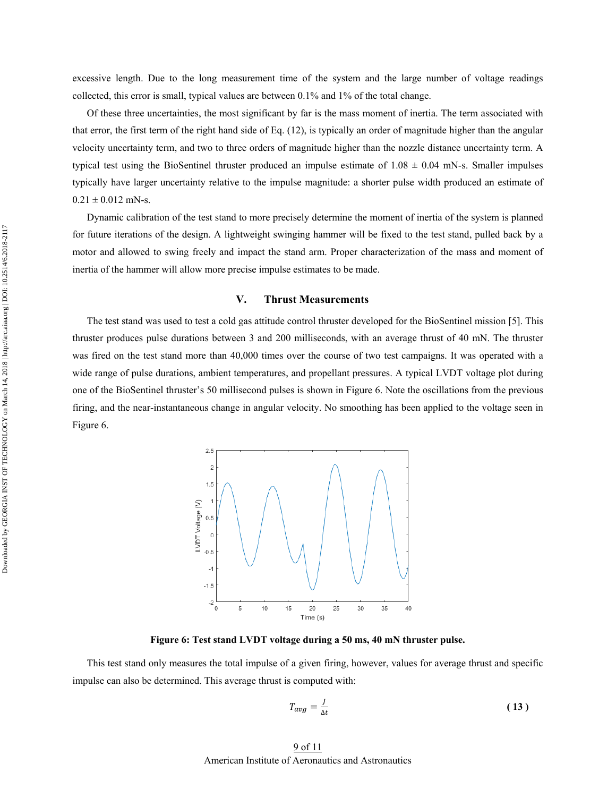excessive length. Due to the long measurement time of the system and the large number of voltage readings collected, this error is small, typical values are between 0.1% and 1% of the total change.

Of these three uncertainties, the most significant by far is the mass moment of inertia. The term associated with that error, the first term of the right hand side of Eq. (12), is typically an order of magnitude higher than the angular velocity uncertainty term, and two to three orders of magnitude higher than the nozzle distance uncertainty term. A typical test using the BioSentinel thruster produced an impulse estimate of  $1.08 \pm 0.04$  mN-s. Smaller impulses typically have larger uncertainty relative to the impulse magnitude: a shorter pulse width produced an estimate of  $0.21 \pm 0.012$  mN-s.

Dynamic calibration of the test stand to more precisely determine the moment of inertia of the system is planned for future iterations of the design. A lightweight swinging hammer will be fixed to the test stand, pulled back by a motor and allowed to swing freely and impact the stand arm. Proper characterization of the mass and moment of inertia of the hammer will allow more precise impulse estimates to be made.

# **V. Thrust Measurements**

The test stand was used to test a cold gas attitude control thruster developed for the BioSentinel mission [5]. This thruster produces pulse durations between 3 and 200 milliseconds, with an average thrust of 40 mN. The thruster was fired on the test stand more than 40,000 times over the course of two test campaigns. It was operated with a wide range of pulse durations, ambient temperatures, and propellant pressures. A typical LVDT voltage plot during one of the BioSentinel thruster's 50 millisecond pulses is shown in Figure 6. Note the oscillations from the previous firing, and the near-instantaneous change in angular velocity. No smoothing has been applied to the voltage seen in Figure 6.



**Figure 6: Test stand LVDT voltage during a 50 ms, 40 mN thruster pulse.** 

This test stand only measures the total impulse of a given firing, however, values for average thrust and specific impulse can also be determined. This average thrust is computed with:

$$
T_{avg} = \frac{J}{\Delta t} \tag{13}
$$

9 of 11 American Institute of Aeronautics and Astronautics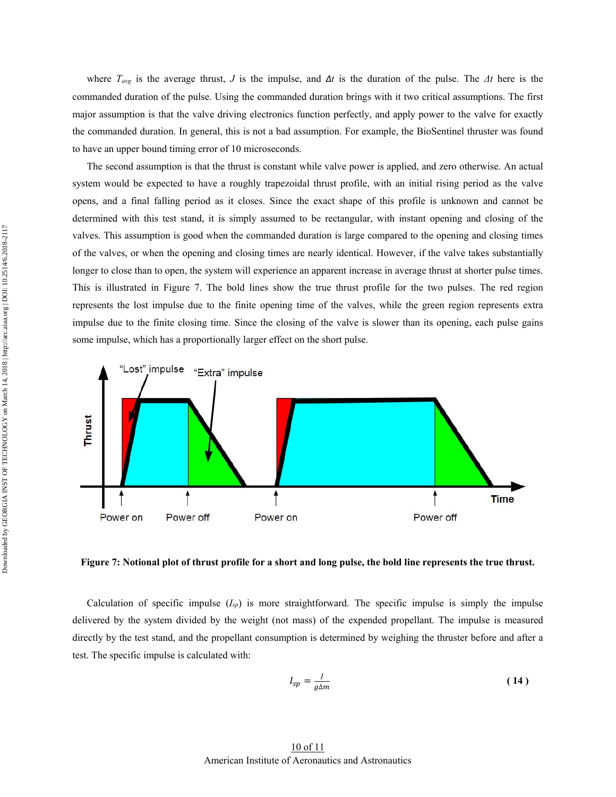where *Tavg* is the average thrust, *J* is the impulse, and *Δt* is the duration of the pulse. The *Δt* here is the commanded duration of the pulse. Using the commanded duration brings with it two critical assumptions. The first major assumption is that the valve driving electronics function perfectly, and apply power to the valve for exactly the commanded duration. In general, this is not a bad assumption. For example, the BioSentinel thruster was found to have an upper bound timing error of 10 microseconds.

 The second assumption is that the thrust is constant while valve power is applied, and zero otherwise. An actual system would be expected to have a roughly trapezoidal thrust profile, with an initial rising period as the valve opens, and a final falling period as it closes. Since the exact shape of this profile is unknown and cannot be determined with this test stand, it is simply assumed to be rectangular, with instant opening and closing of the valves. This assumption is good when the commanded duration is large compared to the opening and closing times of the valves, or when the opening and closing times are nearly identical. However, if the valve takes substantially longer to close than to open, the system will experience an apparent increase in average thrust at shorter pulse times. This is illustrated in Figure 7. The bold lines show the true thrust profile for the two pulses. The red region represents the lost impulse due to the finite opening time of the valves, while the green region represents extra impulse due to the finite closing time. Since the closing of the valve is slower than its opening, each pulse gains some impulse, which has a proportionally larger effect on the short pulse.



**Figure 7: Notional plot of thrust profile for a short and long pulse, the bold line represents the true thrust.** 

 Calculation of specific impulse (*Isp*) is more straightforward. The specific impulse is simply the impulse delivered by the system divided by the weight (not mass) of the expended propellant. The impulse is measured directly by the test stand, and the propellant consumption is determined by weighing the thruster before and after a test. The specific impulse is calculated with:

$$
I_{sp} = \frac{J}{g\Delta m} \tag{14}
$$